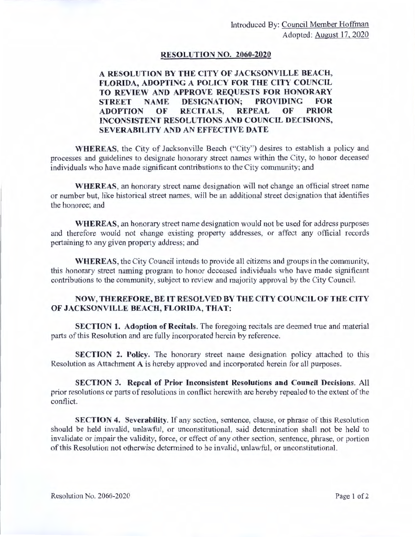#### **RESOLUTION NO. 2060-2020**

## **A RESOLUTION BY THE CITY OF JACKSONVILLE BEACH, FLORIDA, ADOPTING A POLICY FOR THE CITY COUNCIL TO REVIEW AND APPROVE REQUESTS FOR HONORARY STREET NAME DESIGNATION; PROVIDING FOR ADOPTION OF RECITALS, REPEAL OF PRIOR INCONSISTENT RESOLUTIONS AND COUNCIL DECISIONS, SEVERABILITY AND AN EFFECTIVE DATE**

**WHEREAS,** the City of Jacksonville Beach ("City") desires to establish a policy and processes and guidelines to designate honorary street names within the City, to honor deceased individuals who have made significant contributions to the City community; and

**WHEREAS,** an honorary street name designation will not change an official street name or number but, like historical street names, will be an additional street designation that identifies the honoree; and

**WHEREAS,** an honorary street name designation would not be used for address purposes and therefore would not change existing property addresses, or affect any official records pertaining to any given property address; and

**WHEREAS,** the City Council intends to provide all citizens and groups in the community, this honorary street naming program to honor deceased individuals who have made significant contributions to the community, subject to review and majority approval by the City Council.

#### **NOW, THEREFORE, BE IT RESOLVED BY THE CITY COU CIL OF THE CITY OF JACKSONVILLE BEACH, FLORIDA, THAT:**

**SECTION 1. Adoption of Recitals.** The foregoing recitals are deemed true and material parts of this Resolution and arc fully incorporated herein by reference.

**SECTION 2. Policy.** The honorary street name designation policy attached to this Resolution as Attachment A is hereby approved and incorporated herein for all purposes.

**SECTION 3. Repeal of Prior Inconsistent Resolutions and Council Decisions.** All prior resolutions or parts ofresolutions in conflict herewith are hereby repealed to the extent of the conflict.

**SECTION 4. Severability.** If any section, sentence, clause, or phrase of this Resolution should be held invalid, unlawful, or unconstitutional, said determination shall not be held to invalidate or impair the validity, force, or effect of any other section, sentence, phrase, or portion of this Resolution not otherwise determined to be invalid, unlawful, or unconstitutional.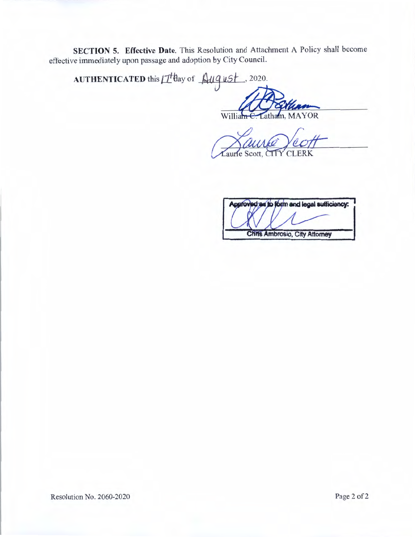**SECTION 5. Effective Date**. This Resolution and Attachment A Policy shall become effective immediately upon passage and adoption by City Council.

AUTHENTICATED this IT day of August , 2020.

> atham, MAYOR William

Laurie Scott, CITY CLERK

Approved as to form and legal sufficiency:

**Chris Ambrosio, City Attorney** 

Resolution No. 2060-2020 Page 2 of 2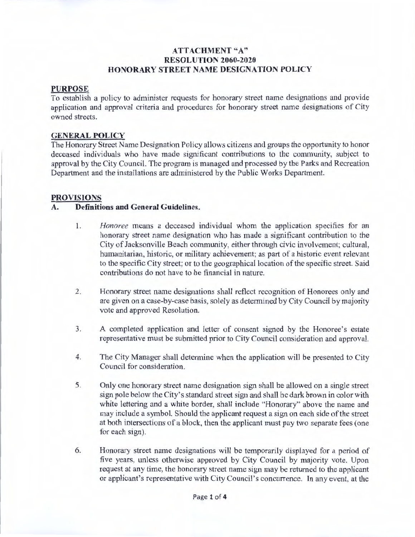## **ATTACHMENT "A" RESOLUTION 2060-2020 HONORARY STREET NAME DESJGNA TION POLICY**

#### **PURPOSE**

To establish a policy to administer requests for honorary street name designations and provide application and approval criteria and procedures for honorary street name designations of City owned streets.

#### **GENERAL POLICY**

The Honorary Street Name Designation Policy allows citizens and groups the opportunity to honor deceased individuals who have made significant contributions to the community, subject to approval by the City Council. The program is managed and processed by the Parks and Recreation Department and the installations are administered by the Public Works Department.

#### **PROVISIONS**

#### **A. Definitions and General Guidelines.**

- 1. *Honoree* means a deceased individual whom the application specifies for an honorary street name designation who has made a significant contribution to the City of Jacksonville Beach community, either through civic involvement; cultural, humanitarian, historic, or military achievement; as part of a historic event relevant to the specific City street; or to the geographical location of the specific street. Said contributions do not have to be financial in nature.
- 2. Honorary street name designations shall reflect recognition of Honorees only and are given on a case-by-case basis, solely as determined by City Council by majority vote and approved Resolution.
- 3. A completed application and letter of consent signed by the Honoree's estate representative must be submitted prior to City Council consideration and approval.
- 4. The City Manager shall determine when the application will be presented to City Council for consideration.
- 5. Only one honorary street name designation sign shall be allowed on a single street sign pole below the City's standard street sign and shall be dark brown in color with white lettering and a white border, shall include "Honorary" above the name and may include a symbol. Should the applicant request a sign on each side of the street at both intersections of a block, then the applicant must pay two separate fees ( one for each sign).
- 6. Honorary street name designations will be temporarily displayed for a period of five years, unless otherwise approved by City Council by majority vote. Upon request at any time, the honorary street name sign may be returned to the applicant or applicant's representative with City Council's concurrence. In any event, at the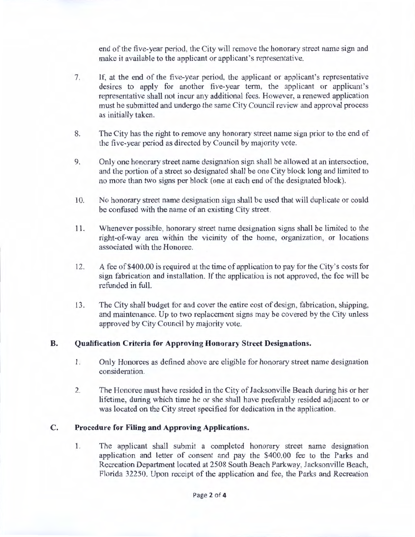end of the five-year period, the City will remove the honorary street name sign and make it available to the applicant or applicant's representative.

- 7. If, at the end of the five-year period, the applicant or applicant's representative desires to apply for another five-year term, the applicant or applicant's representative shall not incur any additional fees. However, a renewed application must be submitted and undergo the same City Council review and approval process as initially taken.
- 8. The City has the right to remove any honorary street name sign prior to the end of the five-year period as directed by Council by majority vote.
- 9. Only one honorary street name designation sign shall be allowed at an intersection, and the portion of a street so designated shall be one City block long and limited to no more than two signs per block (one at each end of the designated block).
- 10. No honorary street name designation sign shall be used that will duplicate or could be confused with the name of an existing City street.
- 11 . Whenever possible, honorary street name designation signs shall be limited to the right-of-way area within the vicinity of the home, organization, or locations associated with the Honoree.
- 12. A fee of \$400.00 is required at the time of application to pay for the City's costs for sign fabrication and installation. lf the application is not approved, the fee will be refunded in full.
- 13. The City shall budget for and cover the entire cost of design, fabrication, shipping, and maintenance. Up to two replacement signs may be covered by the City unless approved by City Council by majority vote.

### **B. Qualification Criteria for Approving Honorary Street Designations.**

- 1. Only Honorees as defined above are eligible for honorary street name designation consideration.
- 2. The Honoree must have resided in the City of Jacksonville Beach during his or her lifetime, during which time he or she shall have preferably resided adjacent to or was located on the City street specified for dedication in the application.

### **C. Procedure for Filing and Approving Applications.**

1. The applicant shall submit a completed honorary street name designation application and letter of consent and pay the \$400.00 fee to the Parks and Recreation Department located at 2508 South Beach Parkway, Jacksonville Beach, Florida 32250. Upon receipt of the application and fee, the Parks and Recreation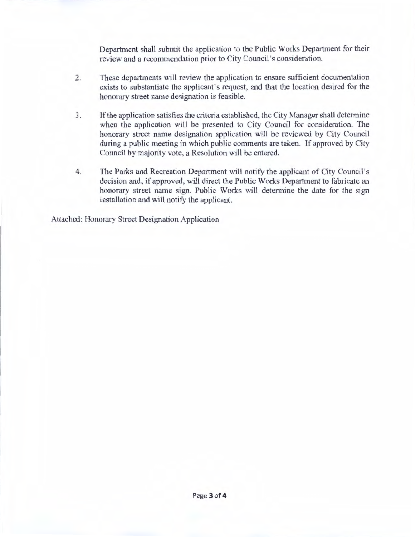Department shall submit the application to the Public Works Department for their review and a recommendation prior to City Council's consideration.

- 2. These departments will review the application to ensure sufficient documentation exists to substantiate the applicant's request, and that the location desired for the honorary street name designation is feasible.
- 3. If the application satisfies the criteria established, the City Manager shall determine when the application will be presented to City Council for consideration. The honorary street name designation application will be reviewed by City Council during a public meeting in which public comments are taken. If approved by City Council by majority vote, a Resolution will be entered.
- 4. The Parks and Recreation Department will notify the applicant of City Council's decision and, if approved, will direct the Public Works Department to fabricate an honorary street name sign. Public Works will determine the date for the sign installation and will notify the applicant.

Attached: Honorary Street Designation Application